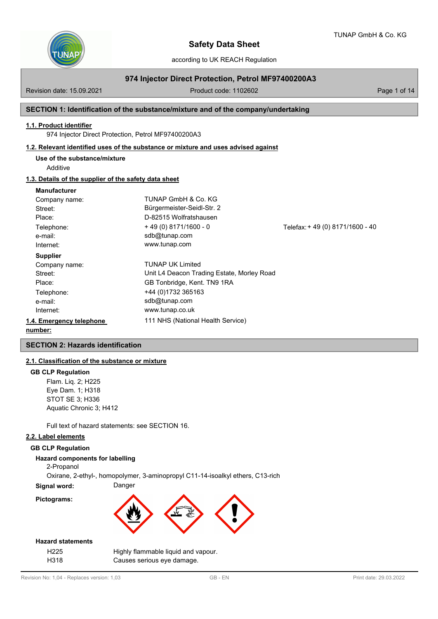

according to UK REACH Regulation

# **974 Injector Direct Protection, Petrol MF97400200A3**

Revision date: 15.09.2021 **Product code: 1102602** Page 1 of 14

## **SECTION 1: Identification of the substance/mixture and of the company/undertaking**

### **1.1. Product identifier**

974 Injector Direct Protection, Petrol MF97400200A3

## **1.2. Relevant identified uses of the substance or mixture and uses advised against**

**Use of the substance/mixture**

Additive

# **1.3. Details of the supplier of the safety data sheet**

### **Manufacturer**

| Company name:            | TUNAP GmbH & Co. KG                        |                                 |
|--------------------------|--------------------------------------------|---------------------------------|
| Street:                  | Bürgermeister-Seidl-Str. 2                 |                                 |
| Place:                   | D-82515 Wolfratshausen                     |                                 |
| Telephone:               | $+49(0)8171/1600 - 0$                      | Telefax: +49 (0) 8171/1600 - 40 |
| e-mail:                  | sdb@tunap.com                              |                                 |
| Internet:                | www.tunap.com                              |                                 |
| <b>Supplier</b>          |                                            |                                 |
| Company name:            | <b>TUNAP UK Limited</b>                    |                                 |
| Street:                  | Unit L4 Deacon Trading Estate, Morley Road |                                 |
| Place:                   | GB Tonbridge, Kent. TN9 1RA                |                                 |
| Telephone:               | +44 (0)1732 365163                         |                                 |
| e-mail:                  | sdb@tunap.com                              |                                 |
| Internet:                | www.tunap.co.uk                            |                                 |
| 1.4. Emergency telephone | 111 NHS (National Health Service)          |                                 |
| numhar:                  |                                            |                                 |

# **number:**

# **SECTION 2: Hazards identification**

# **2.1. Classification of the substance or mixture**

### **GB CLP Regulation**

Flam. Liq. 2; H225 Eye Dam. 1; H318 STOT SE 3; H336 Aquatic Chronic 3; H412

Full text of hazard statements: see SECTION 16.

# **2.2. Label elements**

# **GB CLP Regulation**

# **Hazard components for labelling**

2-Propanol

Oxirane, 2-ethyl-, homopolymer, 3-aminopropyl C11-14-isoalkyl ethers, C13-rich

**Signal word:** Danger





### **Hazard statements**

| H22<br>٠. |  |
|-----------|--|
| н:318     |  |

Highly flammable liquid and vapour. Causes serious eye damage.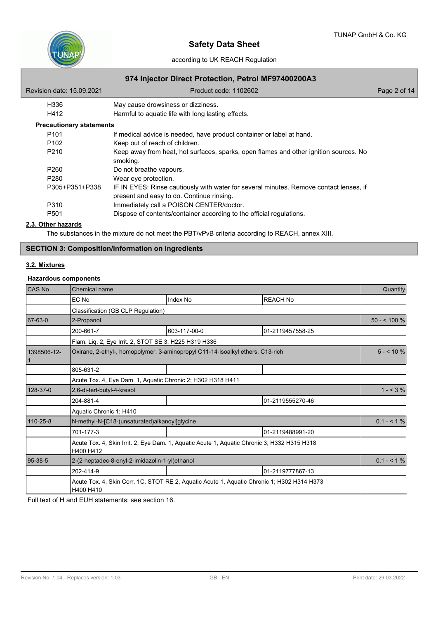

according to UK REACH Regulation

# **974 Injector Direct Protection, Petrol MF97400200A3**

| Revision date: 15.09.2021       | Product code: 1102602                                                                                                               | Page 2 of 14 |
|---------------------------------|-------------------------------------------------------------------------------------------------------------------------------------|--------------|
| H336                            | May cause drowsiness or dizziness.                                                                                                  |              |
| H412                            | Harmful to aquatic life with long lasting effects.                                                                                  |              |
| <b>Precautionary statements</b> |                                                                                                                                     |              |
| P <sub>101</sub>                | If medical advice is needed, have product container or label at hand.                                                               |              |
| P <sub>102</sub>                | Keep out of reach of children.                                                                                                      |              |
| P <sub>210</sub>                | Keep away from heat, hot surfaces, sparks, open flames and other ignition sources. No<br>smoking.                                   |              |
| P <sub>260</sub>                | Do not breathe vapours.                                                                                                             |              |
| P <sub>280</sub>                | Wear eye protection.                                                                                                                |              |
| P305+P351+P338                  | IF IN EYES: Rinse cautiously with water for several minutes. Remove contact lenses, if<br>present and easy to do. Continue rinsing. |              |
| P310                            | Immediately call a POISON CENTER/doctor.                                                                                            |              |
| P <sub>501</sub>                | Dispose of contents/container according to the official regulations.                                                                |              |
| 2.3. Other hazards              |                                                                                                                                     |              |

The substances in the mixture do not meet the PBT/vPvB criteria according to REACH, annex XIII.

# **SECTION 3: Composition/information on ingredients**

## **3.2. Mixtures**

# **Hazardous components**

| CAS No      | Chemical name                                                                                            |              |                  | Quantity     |  |
|-------------|----------------------------------------------------------------------------------------------------------|--------------|------------------|--------------|--|
|             | EC No                                                                                                    | Index No     | <b>REACH No</b>  |              |  |
|             | Classification (GB CLP Regulation)                                                                       |              |                  |              |  |
| 67-63-0     | 2-Propanol                                                                                               |              |                  | $50 - 100 %$ |  |
|             | 200-661-7                                                                                                | 603-117-00-0 | 01-2119457558-25 |              |  |
|             | Flam. Liq. 2, Eye Irrit. 2, STOT SE 3; H225 H319 H336                                                    |              |                  |              |  |
| 1398506-12- | Oxirane, 2-ethyl-, homopolymer, 3-aminopropyl C11-14-isoalkyl ethers, C13-rich                           |              |                  | $5 - 10%$    |  |
|             | 805-631-2                                                                                                |              |                  |              |  |
|             | Acute Tox. 4, Eye Dam. 1, Aquatic Chronic 2; H302 H318 H411                                              |              |                  |              |  |
| 128-37-0    | 2,6-di-tert-butyl-4-kresol                                                                               |              |                  |              |  |
|             | 204-881-4                                                                                                |              | 01-2119555270-46 |              |  |
|             | Aquatic Chronic 1; H410                                                                                  |              |                  |              |  |
| 110-25-8    | N-methyl-N-[C18-(unsaturated)alkanoyl]glycine                                                            |              |                  | $0.1 - 1\%$  |  |
|             | 701-177-3                                                                                                |              | 01-2119488991-20 |              |  |
|             | Acute Tox. 4, Skin Irrit. 2, Eye Dam. 1, Aquatic Acute 1, Aquatic Chronic 3; H332 H315 H318<br>H400 H412 |              |                  |              |  |
| 95-38-5     | 2-(2-heptadec-8-enyl-2-imidazolin-1-yl)ethanol                                                           |              |                  | $0.1 - 1\%$  |  |
|             | 202-414-9                                                                                                |              | 01-2119777867-13 |              |  |
|             | Acute Tox. 4, Skin Corr. 1C, STOT RE 2, Aquatic Acute 1, Aquatic Chronic 1; H302 H314 H373<br>H400 H410  |              |                  |              |  |

Full text of H and EUH statements: see section 16.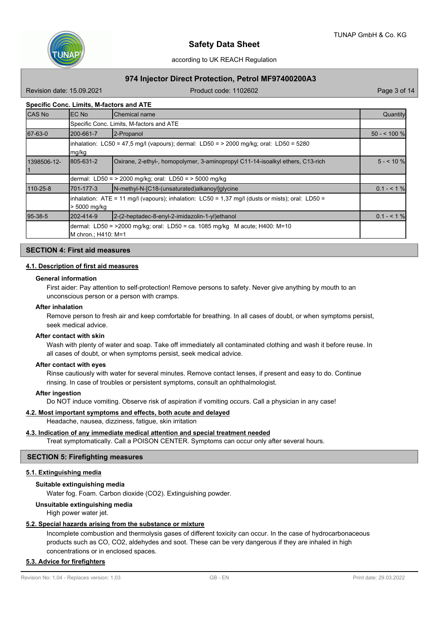

# **974 Injector Direct Protection, Petrol MF97400200A3**

Revision date: 15.09.2021 **Product code: 1102602** Page 3 of 14

# **Specific Conc. Limits, M-factors and ATE**

| <b>CAS No</b> | <b>IEC No</b>                                                                                                              | <b>Chemical name</b>                                                                             | Quantity     |  |  |  |
|---------------|----------------------------------------------------------------------------------------------------------------------------|--------------------------------------------------------------------------------------------------|--------------|--|--|--|
|               |                                                                                                                            | Specific Conc. Limits, M-factors and ATE                                                         |              |  |  |  |
| 67-63-0       | 200-661-7                                                                                                                  | 2-Propanol                                                                                       | $50 - 100$ % |  |  |  |
|               | mg/kg                                                                                                                      | $\lambda$ inhalation: LC50 = 47,5 mg/l (vapours); dermal: LD50 = > 2000 mg/kg; oral: LD50 = 5280 |              |  |  |  |
| 1398506-12-   | 805-631-2                                                                                                                  | Oxirane, 2-ethyl-, homopolymer, 3-aminopropyl C11-14-isoalkyl ethers, C13-rich                   | $5 - 10$ %   |  |  |  |
|               |                                                                                                                            | dermal: LD50 = > 2000 mg/kg; oral: LD50 = > 5000 mg/kg                                           |              |  |  |  |
| 110-25-8      | 701-177-3                                                                                                                  | N-methyl-N-[C18-(unsaturated)alkanoyl]qlycine                                                    | $0.1 - 51%$  |  |  |  |
|               | $\lambda$ inhalation: ATE = 11 mg/l (vapours); inhalation: LC50 = 1,37 mg/l (dusts or mists); oral: LD50 =<br>> 5000 mg/kg |                                                                                                  |              |  |  |  |
| 95-38-5       | 202-414-9                                                                                                                  | 2-(2-heptadec-8-enyl-2-imidazolin-1-yl)ethanol                                                   | $0.1 - 51%$  |  |  |  |
|               | dermal: LD50 = >2000 mg/kg; oral: LD50 = ca. 1085 mg/kg M acute; H400: M=10<br>M chron : H410: M=1                         |                                                                                                  |              |  |  |  |

# **SECTION 4: First aid measures**

### **4.1. Description of first aid measures**

#### **General information**

First aider: Pay attention to self-protection! Remove persons to safety. Never give anything by mouth to an unconscious person or a person with cramps.

#### **After inhalation**

Remove person to fresh air and keep comfortable for breathing. In all cases of doubt, or when symptoms persist, seek medical advice.

#### **After contact with skin**

Wash with plenty of water and soap. Take off immediately all contaminated clothing and wash it before reuse. In all cases of doubt, or when symptoms persist, seek medical advice.

#### **After contact with eyes**

Rinse cautiously with water for several minutes. Remove contact lenses, if present and easy to do. Continue rinsing. In case of troubles or persistent symptoms, consult an ophthalmologist.

### **After ingestion**

Do NOT induce vomiting. Observe risk of aspiration if vomiting occurs. Call a physician in any case!

### **4.2. Most important symptoms and effects, both acute and delayed**

Headache, nausea, dizziness, fatigue, skin irritation

## **4.3. Indication of any immediate medical attention and special treatment needed**

Treat symptomatically. Call a POISON CENTER. Symptoms can occur only after several hours.

### **SECTION 5: Firefighting measures**

### **5.1. Extinguishing media**

### **Suitable extinguishing media**

Water fog. Foam. Carbon dioxide (CO2). Extinguishing powder.

## **Unsuitable extinguishing media**

High power water jet.

### **5.2. Special hazards arising from the substance or mixture**

Incomplete combustion and thermolysis gases of different toxicity can occur. In the case of hydrocarbonaceous products such as CO, CO2, aldehydes and soot. These can be very dangerous if they are inhaled in high concentrations or in enclosed spaces.

# **5.3. Advice for firefighters**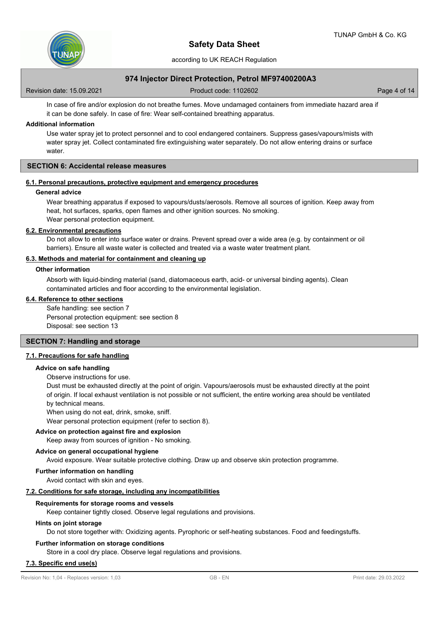

# **974 Injector Direct Protection, Petrol MF97400200A3**

Revision date: 15.09.2021 **Product code: 1102602** Page 4 of 14

In case of fire and/or explosion do not breathe fumes. Move undamaged containers from immediate hazard area if it can be done safely. In case of fire: Wear self-contained breathing apparatus.

## **Additional information**

Use water spray jet to protect personnel and to cool endangered containers. Suppress gases/vapours/mists with water spray jet. Collect contaminated fire extinguishing water separately. Do not allow entering drains or surface water.

# **SECTION 6: Accidental release measures**

#### **6.1. Personal precautions, protective equipment and emergency procedures**

### **General advice**

Wear breathing apparatus if exposed to vapours/dusts/aerosols. Remove all sources of ignition. Keep away from heat, hot surfaces, sparks, open flames and other ignition sources. No smoking. Wear personal protection equipment.

#### **6.2. Environmental precautions**

Do not allow to enter into surface water or drains. Prevent spread over a wide area (e.g. by containment or oil barriers). Ensure all waste water is collected and treated via a waste water treatment plant.

# **6.3. Methods and material for containment and cleaning up**

### **Other information**

Absorb with liquid-binding material (sand, diatomaceous earth, acid- or universal binding agents). Clean contaminated articles and floor according to the environmental legislation.

### **6.4. Reference to other sections**

Safe handling: see section 7 Personal protection equipment: see section 8 Disposal: see section 13

# **SECTION 7: Handling and storage**

#### **7.1. Precautions for safe handling**

#### **Advice on safe handling**

Observe instructions for use.

Dust must be exhausted directly at the point of origin. Vapours/aerosols must be exhausted directly at the point of origin. If local exhaust ventilation is not possible or not sufficient, the entire working area should be ventilated by technical means.

When using do not eat, drink, smoke, sniff.

Wear personal protection equipment (refer to section 8).

# **Advice on protection against fire and explosion**

Keep away from sources of ignition - No smoking.

### **Advice on general occupational hygiene**

Avoid exposure. Wear suitable protective clothing. Draw up and observe skin protection programme.

#### **Further information on handling**

Avoid contact with skin and eyes.

#### **7.2. Conditions for safe storage, including any incompatibilities**

### **Requirements for storage rooms and vessels**

Keep container tightly closed. Observe legal regulations and provisions.

#### **Hints on joint storage**

Do not store together with: Oxidizing agents. Pyrophoric or self-heating substances. Food and feedingstuffs.

#### **Further information on storage conditions**

Store in a cool dry place. Observe legal regulations and provisions.

### **7.3. Specific end use(s)**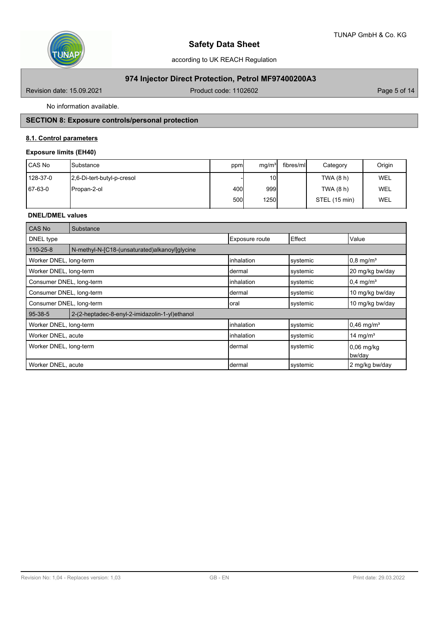

# **974 Injector Direct Protection, Petrol MF97400200A3**

Revision date: 15.09.2021 **Product code: 1102602** Page 5 of 14

No information available.

# **SECTION 8: Exposure controls/personal protection**

# **8.1. Control parameters**

# **Exposure limits (EH40)**

| CAS No   | ISubstance                 | ppm          | mg/m <sup>3</sup> | fibres/ml | Category      | Origin     |
|----------|----------------------------|--------------|-------------------|-----------|---------------|------------|
| 128-37-0 | 2.6-Di-tert-butyl-p-cresol |              | 10 <sup>1</sup>   |           | TWA (8 h)     | <b>WEL</b> |
| 67-63-0  | IPropan-2-ol               | 400 <b> </b> | 999               |           | TWA (8 h)     | <b>WEL</b> |
|          |                            | 500l         | <b>1250</b>       |           | STEL (15 min) | <b>WEL</b> |

# **DNEL/DMEL values**

| CAS No                   | Substance                                      |                |          |                          |
|--------------------------|------------------------------------------------|----------------|----------|--------------------------|
| DNEL type                |                                                | Exposure route | Effect   | Value                    |
| 110-25-8                 | N-methyl-N-[C18-(unsaturated)alkanoyl]qlycine  |                |          |                          |
| Worker DNEL, long-term   |                                                | inhalation     | systemic | $0,8$ mg/m <sup>3</sup>  |
| Worker DNEL, long-term   |                                                | Idermal        | systemic | 20 mg/kg bw/day          |
| Consumer DNEL, long-term |                                                | linhalation    | systemic | $0.4$ mg/m <sup>3</sup>  |
| Consumer DNEL, long-term |                                                | Idermal        | systemic | 10 mg/kg bw/day          |
| Consumer DNEL, long-term |                                                | Ioral          | systemic | 10 mg/kg bw/day          |
| 95-38-5                  | 2-(2-heptadec-8-enyl-2-imidazolin-1-yl)ethanol |                |          |                          |
| Worker DNEL, long-term   |                                                | inhalation     | systemic | $0,46$ mg/m <sup>3</sup> |
| Worker DNEL, acute       |                                                | inhalation     | systemic | 14 mg/m <sup>3</sup>     |
| Worker DNEL, long-term   |                                                | Idermal        | systemic | $0,06$ mg/kg<br>bw/day   |
| Worker DNEL, acute       |                                                | Idermal        | systemic | 2 mg/kg bw/day           |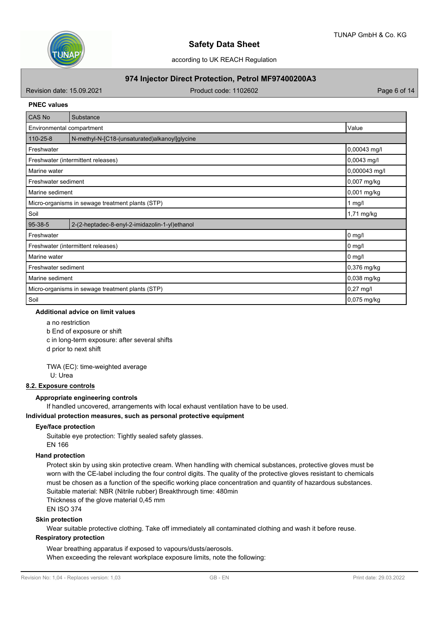

# **974 Injector Direct Protection, Petrol MF97400200A3**

Revision date: 15.09.2021 Case of the Contract Code: 1102602 Page 6 of the Page 6 of 14

### **PNEC values**

| CAS No                                                       | Substance                                      |               |
|--------------------------------------------------------------|------------------------------------------------|---------------|
| Environmental compartment                                    | Value                                          |               |
| $110 - 25 - 8$                                               | N-methyl-N-[C18-(unsaturated)alkanoyl]glycine  |               |
| Freshwater                                                   |                                                | 0,00043 mg/l  |
|                                                              | Freshwater (intermittent releases)             | $0,0043$ mg/l |
| Marine water                                                 |                                                | 0,000043 mg/l |
| Freshwater sediment                                          |                                                | 0,007 mg/kg   |
| Marine sediment                                              |                                                | 0,001 mg/kg   |
| Micro-organisms in sewage treatment plants (STP)<br>1 $mg/l$ |                                                |               |
| Soil                                                         |                                                | 1,71 mg/kg    |
| 95-38-5                                                      | 2-(2-heptadec-8-enyl-2-imidazolin-1-yl)ethanol |               |
| Freshwater                                                   |                                                | $0$ mg/l      |
|                                                              | Freshwater (intermittent releases)             | $0$ mg/l      |
| Marine water                                                 |                                                | $0$ mg/l      |
| Freshwater sediment                                          |                                                | 0,376 mg/kg   |
| Marine sediment                                              |                                                | 0,038 mg/kg   |
| Micro-organisms in sewage treatment plants (STP)             |                                                | $0,27$ mg/l   |
| Soil                                                         |                                                | $0,075$ mg/kg |

## **Additional advice on limit values**

a no restriction

b End of exposure or shift

c in long-term exposure: after several shifts

d prior to next shift

TWA (EC): time-weighted average

U: Urea

# **8.2. Exposure controls**

### **Appropriate engineering controls**

If handled uncovered, arrangements with local exhaust ventilation have to be used.

### **Individual protection measures, such as personal protective equipment**

### **Eye/face protection**

Suitable eye protection: Tightly sealed safety glasses. EN 166

### **Hand protection**

Protect skin by using skin protective cream. When handling with chemical substances, protective gloves must be worn with the CE-label including the four control digits. The quality of the protective gloves resistant to chemicals must be chosen as a function of the specific working place concentration and quantity of hazardous substances. Suitable material: NBR (Nitrile rubber) Breakthrough time: 480min Thickness of the glove material 0,45 mm EN ISO 374

# **Skin protection**

Wear suitable protective clothing. Take off immediately all contaminated clothing and wash it before reuse.

# **Respiratory protection**

Wear breathing apparatus if exposed to vapours/dusts/aerosols. When exceeding the relevant workplace exposure limits, note the following: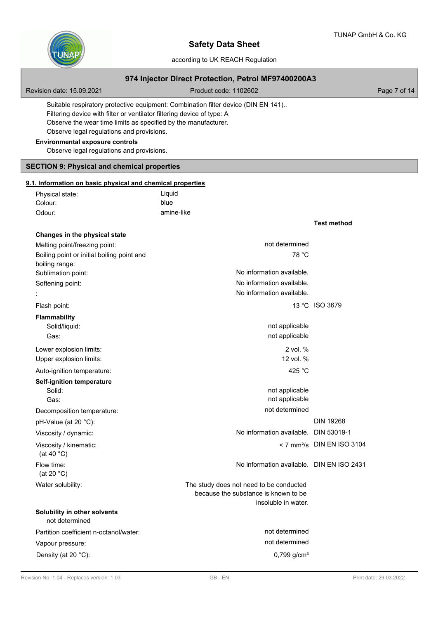

# according to UK REACH Regulation

# **974 Injector Direct Protection, Petrol MF97400200A3**

Revision date: 15.09.2021 **Product code: 1102602** Page 7 of 14

Suitable respiratory protective equipment: Combination filter device (DIN EN 141).. Filtering device with filter or ventilator filtering device of type: A Observe the wear time limits as specified by the manufacturer. Observe legal regulations and provisions.

# **Environmental exposure controls**

**Changes in the physical state**

Observe legal regulations and provisions.

# **SECTION 9: Physical and chemical properties**

### **9.1. Information on basic physical and chemical properties**

| Physical state: | Liquid     |
|-----------------|------------|
| Colour:         | blue       |
| Odour:          | amine-like |

**Test method**

| Melting point/freezing point:                  | not determined                            |                                          |
|------------------------------------------------|-------------------------------------------|------------------------------------------|
| Boiling point or initial boiling point and     | 78 °C                                     |                                          |
| boiling range:                                 |                                           |                                          |
| Sublimation point:                             | No information available.                 |                                          |
| Softening point:                               | No information available.                 |                                          |
|                                                | No information available.                 |                                          |
| Flash point:                                   |                                           | 13 °C ISO 3679                           |
| <b>Flammability</b>                            |                                           |                                          |
| Solid/liquid:                                  | not applicable                            |                                          |
| Gas:                                           | not applicable                            |                                          |
| Lower explosion limits:                        | 2 vol. %                                  |                                          |
| Upper explosion limits:                        | 12 vol. %                                 |                                          |
| Auto-ignition temperature:                     | 425 °C                                    |                                          |
| <b>Self-ignition temperature</b>               |                                           |                                          |
| Solid:                                         | not applicable                            |                                          |
| Gas:                                           | not applicable                            |                                          |
| Decomposition temperature:                     | not determined                            |                                          |
| pH-Value (at 20 °C):                           |                                           | <b>DIN 19268</b>                         |
| Viscosity / dynamic:                           | No information available. DIN 53019-1     |                                          |
| Viscosity / kinematic:                         |                                           | $<$ 7 mm <sup>2</sup> /s DIN EN ISO 3104 |
| (at 40 $^{\circ}$ C)                           |                                           |                                          |
| Flow time:<br>(at 20 $°C$ )                    | No information available. DIN EN ISO 2431 |                                          |
| Water solubility:                              | The study does not need to be conducted   |                                          |
|                                                | because the substance is known to be      |                                          |
|                                                | insoluble in water.                       |                                          |
| Solubility in other solvents<br>not determined |                                           |                                          |
| Partition coefficient n-octanol/water:         | not determined                            |                                          |
| Vapour pressure:                               | not determined                            |                                          |
| Density (at 20 °C):                            | 0,799 g/cm <sup>3</sup>                   |                                          |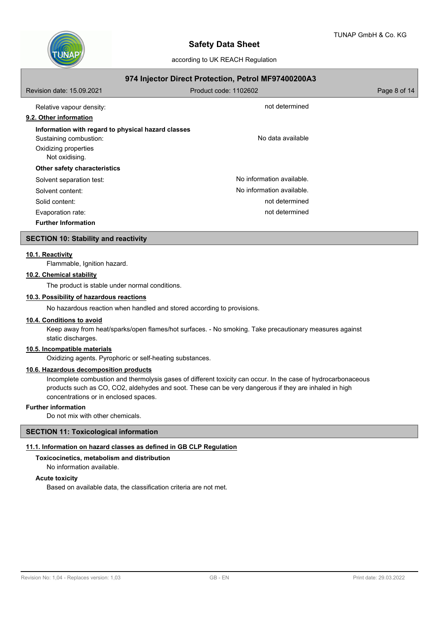

| 974 Injector Direct Protection, Petrol MF97400200A3 |                           |              |  |  |
|-----------------------------------------------------|---------------------------|--------------|--|--|
| Revision date: 15.09.2021                           | Product code: 1102602     | Page 8 of 14 |  |  |
| Relative vapour density:                            | not determined            |              |  |  |
| 9.2. Other information                              |                           |              |  |  |
| Information with regard to physical hazard classes  |                           |              |  |  |
| Sustaining combustion:                              | No data available         |              |  |  |
| Oxidizing properties                                |                           |              |  |  |
| Not oxidising.                                      |                           |              |  |  |
| Other safety characteristics                        |                           |              |  |  |
| Solvent separation test:                            | No information available. |              |  |  |
| Solvent content:                                    | No information available. |              |  |  |
| Solid content:                                      | not determined            |              |  |  |
| Evaporation rate:                                   | not determined            |              |  |  |
| <b>Further Information</b>                          |                           |              |  |  |

### **SECTION 10: Stability and reactivity**

### **10.1. Reactivity**

Flammable, Ignition hazard.

# **10.2. Chemical stability**

The product is stable under normal conditions.

### **10.3. Possibility of hazardous reactions**

No hazardous reaction when handled and stored according to provisions.

#### **10.4. Conditions to avoid**

Keep away from heat/sparks/open flames/hot surfaces. - No smoking. Take precautionary measures against static discharges.

# **10.5. Incompatible materials**

Oxidizing agents. Pyrophoric or self-heating substances.

# **10.6. Hazardous decomposition products**

Incomplete combustion and thermolysis gases of different toxicity can occur. In the case of hydrocarbonaceous products such as CO, CO2, aldehydes and soot. These can be very dangerous if they are inhaled in high concentrations or in enclosed spaces.

### **Further information**

Do not mix with other chemicals.

### **SECTION 11: Toxicological information**

### **11.1. Information on hazard classes as defined in GB CLP Regulation**

# **Toxicocinetics, metabolism and distribution**

No information available.

### **Acute toxicity**

Based on available data, the classification criteria are not met.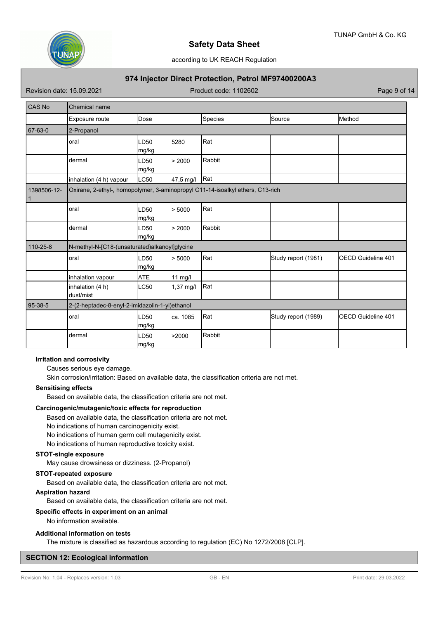

according to UK REACH Regulation

# **974 Injector Direct Protection, Petrol MF97400200A3**

Revision date: 15.09.2021 **Product code: 1102602** Page 9 of 14

| <b>CAS No</b> | <b>Chemical name</b>                           |                           |             |                                                                                |                     |                           |
|---------------|------------------------------------------------|---------------------------|-------------|--------------------------------------------------------------------------------|---------------------|---------------------------|
|               | Exposure route                                 | Dose                      |             | Species                                                                        | Source              | Method                    |
| 67-63-0       | 2-Propanol                                     |                           |             |                                                                                |                     |                           |
|               | oral                                           | LD <sub>50</sub><br>mg/kg | 5280        | Rat                                                                            |                     |                           |
|               | dermal                                         | LD <sub>50</sub><br>mg/kg | > 2000      | Rabbit                                                                         |                     |                           |
|               | inhalation (4 h) vapour                        | LC50                      | 47,5 mg/l   | Rat                                                                            |                     |                           |
| 1398506-12-   |                                                |                           |             | Oxirane, 2-ethyl-, homopolymer, 3-aminopropyl C11-14-isoalkyl ethers, C13-rich |                     |                           |
|               | oral                                           | LD <sub>50</sub><br>mg/kg | > 5000      | Rat                                                                            |                     |                           |
|               | dermal                                         | LD <sub>50</sub><br>mg/kg | > 2000      | Rabbit                                                                         |                     |                           |
| 110-25-8      | N-methyl-N-[C18-(unsaturated)alkanoyl]glycine  |                           |             |                                                                                |                     |                           |
|               | oral                                           | LD <sub>50</sub><br>mg/kg | > 5000      | Rat                                                                            | Study report (1981) | <b>OECD Guideline 401</b> |
|               | inhalation vapour                              | <b>ATE</b>                | $11$ mg/l   |                                                                                |                     |                           |
|               | inhalation (4 h)<br>dust/mist                  | LC50                      | $1,37$ mg/l | Rat                                                                            |                     |                           |
| 95-38-5       | 2-(2-heptadec-8-enyl-2-imidazolin-1-yl)ethanol |                           |             |                                                                                |                     |                           |
|               | oral                                           | LD50<br>mg/kg             | ca. 1085    | Rat                                                                            | Study report (1989) | <b>OECD Guideline 401</b> |
|               | dermal                                         | LD <sub>50</sub><br>mg/kg | >2000       | Rabbit                                                                         |                     |                           |

### **Irritation and corrosivity**

Causes serious eye damage.

Skin corrosion/irritation: Based on available data, the classification criteria are not met.

#### **Sensitising effects**

Based on available data, the classification criteria are not met.

### **Carcinogenic/mutagenic/toxic effects for reproduction**

Based on available data, the classification criteria are not met.

No indications of human carcinogenicity exist.

No indications of human germ cell mutagenicity exist.

No indications of human reproductive toxicity exist.

### **STOT-single exposure**

May cause drowsiness or dizziness. (2-Propanol)

# **STOT-repeated exposure**

Based on available data, the classification criteria are not met.

# **Aspiration hazard**

Based on available data, the classification criteria are not met.

## **Specific effects in experiment on an animal**

No information available.

### **Additional information on tests**

The mixture is classified as hazardous according to regulation (EC) No 1272/2008 [CLP].

### **SECTION 12: Ecological information**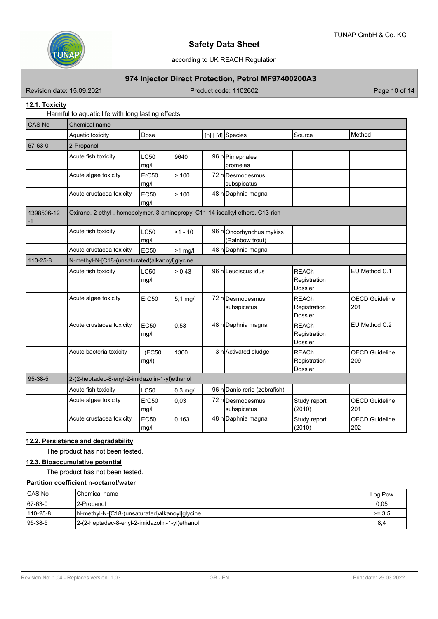

# **974 Injector Direct Protection, Petrol MF97400200A3**

Revision date: 15.09.2021 **Product code: 1102602** Page 10 of 14

# **12.1. Toxicity**

Harmful to aquatic life with long lasting effects.

| <b>CAS No</b>      | <b>Chemical name</b>                                                           |                     |            |  |                                            |                                                |                              |
|--------------------|--------------------------------------------------------------------------------|---------------------|------------|--|--------------------------------------------|------------------------------------------------|------------------------------|
|                    | Aquatic toxicity                                                               | Dose                |            |  | [h] $ d $ Species                          | Source                                         | Method                       |
| 67-63-0            | 2-Propanol                                                                     |                     |            |  |                                            |                                                |                              |
|                    | Acute fish toxicity                                                            | <b>LC50</b><br>mg/l | 9640       |  | 96 h Pimephales<br>Ipromelas               |                                                |                              |
|                    | Acute algae toxicity                                                           | ErC50<br>mg/l       | >100       |  | 72 hDesmodesmus<br>subspicatus             |                                                |                              |
|                    | Acute crustacea toxicity                                                       | <b>EC50</b><br>mg/l | > 100      |  | 48 h Daphnia magna                         |                                                |                              |
| 1398506-12<br>$-1$ | Oxirane, 2-ethyl-, homopolymer, 3-aminopropyl C11-14-isoalkyl ethers, C13-rich |                     |            |  |                                            |                                                |                              |
|                    | Acute fish toxicity                                                            | <b>LC50</b><br>mg/l | $>1 - 10$  |  | 96 hOncorhynchus mykiss<br>(Rainbow trout) |                                                |                              |
|                    | Acute crustacea toxicity                                                       | <b>EC50</b>         | $>1$ mg/l  |  | 48 h Daphnia magna                         |                                                |                              |
| 110-25-8           | N-methyl-N-[C18-(unsaturated)alkanoyl]glycine                                  |                     |            |  |                                            |                                                |                              |
|                    | Acute fish toxicity                                                            | <b>LC50</b><br>mg/l | > 0,43     |  | 96 h Leuciscus idus                        | <b>REACh</b><br>Registration<br>Dossier        | EU Method C.1                |
|                    | Acute algae toxicity                                                           | ErC50               | $5.1$ mg/l |  | 72 hDesmodesmus<br>subspicatus             | <b>REACh</b><br>Registration<br><b>Dossier</b> | <b>OECD Guideline</b><br>201 |
|                    | Acute crustacea toxicity                                                       | <b>EC50</b><br>mg/l | 0,53       |  | 48 h Daphnia magna                         | <b>REACh</b><br>Registration<br>Dossier        | EU Method C.2                |
|                    | Acute bacteria toxicity                                                        | (EC50<br>mg/l)      | 1300       |  | 3 h Activated sludge                       | <b>REACh</b><br>Registration<br><b>Dossier</b> | <b>OECD Guideline</b><br>209 |
| 95-38-5            | 2-(2-heptadec-8-enyl-2-imidazolin-1-yl)ethanol                                 |                     |            |  |                                            |                                                |                              |
|                    | Acute fish toxicity                                                            | LC50                | $0,3$ mg/l |  | 96 h Danio rerio (zebrafish)               |                                                |                              |
|                    | Acute algae toxicity                                                           | ErC50<br>mg/l       | 0,03       |  | 72 hDesmodesmus<br>subspicatus             | Study report<br>(2010)                         | <b>OECD Guideline</b><br>201 |
|                    | Acute crustacea toxicity                                                       | EC50<br>mg/l        | 0,163      |  | 48 h Daphnia magna                         | Study report<br>(2010)                         | <b>OECD Guideline</b><br>202 |

# **12.2. Persistence and degradability**

The product has not been tested.

# **12.3. Bioaccumulative potential**

The product has not been tested.

# **Partition coefficient n-octanol/water**

| <b>CAS No</b>  | IChemical name                                 | Log Pow  |
|----------------|------------------------------------------------|----------|
| 67-63-0        | 12-Propanol                                    | 0,05     |
| $110 - 25 - 8$ | N-methyl-N-[C18-(unsaturated)alkanoyl]qlycine  | $>= 3.5$ |
| $ 95-38-5 $    | 2-(2-heptadec-8-enyl-2-imidazolin-1-yl)ethanol | 8,4      |

Revision No: 1,04 - Replaces version: 1,03 GB - EN GB - EN Print date: 29.03.2022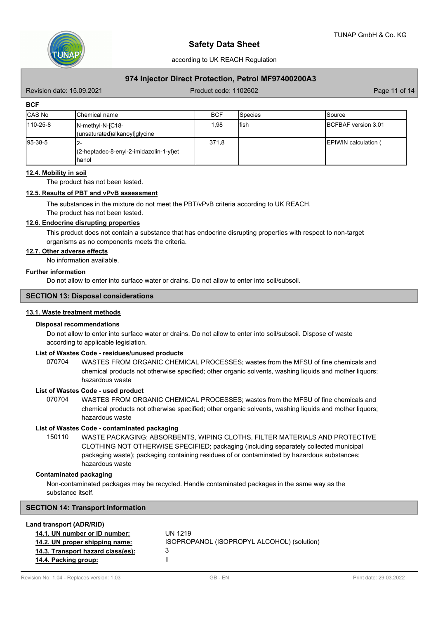

# **974 Injector Direct Protection, Petrol MF97400200A3**

Revision date: 15.09.2021 Case of the Contract Code: 1102602 Page 11 of 14

**BCF**

| <b>CAS No</b> | IChemical name                                            | <b>BCF</b> | ISpecies | <b>Source</b>                |
|---------------|-----------------------------------------------------------|------------|----------|------------------------------|
| 110-25-8      | $IN$ -methyl-N- $IC18$ -<br>(unsaturated)alkanoyl]glycine | 1,98       | lfish    | <b>IBCFBAF</b> version 3.01  |
| $ 95-38-5 $   | 12-<br>l(2-heptadec-8-enyl-2-imidazolin-1-yl)et<br>Ihanol | 371,8      |          | <b>IEPIWIN</b> calculation ( |

### **12.4. Mobility in soil**

The product has not been tested.

### **12.5. Results of PBT and vPvB assessment**

The substances in the mixture do not meet the PBT/vPvB criteria according to UK REACH.

The product has not been tested.

### **12.6. Endocrine disrupting properties**

This product does not contain a substance that has endocrine disrupting properties with respect to non-target organisms as no components meets the criteria.

# **12.7. Other adverse effects**

No information available.

### **Further information**

Do not allow to enter into surface water or drains. Do not allow to enter into soil/subsoil.

#### **SECTION 13: Disposal considerations**

# **13.1. Waste treatment methods**

#### **Disposal recommendations**

Do not allow to enter into surface water or drains. Do not allow to enter into soil/subsoil. Dispose of waste according to applicable legislation.

## **List of Wastes Code - residues/unused products**

070704 WASTES FROM ORGANIC CHEMICAL PROCESSES; wastes from the MFSU of fine chemicals and chemical products not otherwise specified; other organic solvents, washing liquids and mother liquors; hazardous waste

#### **List of Wastes Code - used product**

WASTES FROM ORGANIC CHEMICAL PROCESSES; wastes from the MFSU of fine chemicals and chemical products not otherwise specified; other organic solvents, washing liquids and mother liquors; hazardous waste 070704

### **List of Wastes Code - contaminated packaging**

WASTE PACKAGING; ABSORBENTS, WIPING CLOTHS, FILTER MATERIALS AND PROTECTIVE CLOTHING NOT OTHERWISE SPECIFIED; packaging (including separately collected municipal packaging waste); packaging containing residues of or contaminated by hazardous substances; hazardous waste 150110

### **Contaminated packaging**

Non-contaminated packages may be recycled. Handle contaminated packages in the same way as the substance itself.

### **SECTION 14: Transport information**

#### **Land transport (ADR/RID)**

| 14.1. UN number or ID number:     | UN 1219                                    |
|-----------------------------------|--------------------------------------------|
| 14.2. UN proper shipping name:    | ISOPROPANOL (ISOPROPYL ALCOHOL) (solution) |
| 14.3. Transport hazard class(es): |                                            |
| 14.4. Packing group:              |                                            |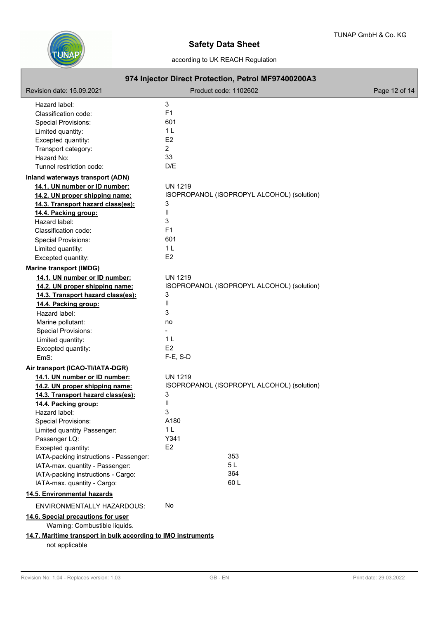

# according to UK REACH Regulation

| 974 Injector Direct Protection, Petrol MF97400200A3           |                                            |               |  |  |
|---------------------------------------------------------------|--------------------------------------------|---------------|--|--|
| Revision date: 15.09.2021                                     | Product code: 1102602                      | Page 12 of 14 |  |  |
| Hazard label:                                                 | 3                                          |               |  |  |
| Classification code:                                          | F <sub>1</sub>                             |               |  |  |
| <b>Special Provisions:</b>                                    | 601                                        |               |  |  |
| Limited quantity:                                             | 1 <sub>L</sub>                             |               |  |  |
| Excepted quantity:                                            | E <sub>2</sub>                             |               |  |  |
| Transport category:                                           | $\overline{2}$                             |               |  |  |
| Hazard No:                                                    | 33                                         |               |  |  |
| Tunnel restriction code:                                      | D/E                                        |               |  |  |
| Inland waterways transport (ADN)                              |                                            |               |  |  |
| 14.1. UN number or ID number:                                 | <b>UN 1219</b>                             |               |  |  |
| 14.2. UN proper shipping name:                                | ISOPROPANOL (ISOPROPYL ALCOHOL) (solution) |               |  |  |
| 14.3. Transport hazard class(es):                             | 3                                          |               |  |  |
| 14.4. Packing group:                                          | $\mathbf{I}$                               |               |  |  |
| Hazard label:                                                 | 3                                          |               |  |  |
| Classification code:                                          | F <sub>1</sub>                             |               |  |  |
| <b>Special Provisions:</b>                                    | 601                                        |               |  |  |
| Limited quantity:                                             | 1 <sub>L</sub>                             |               |  |  |
| Excepted quantity:                                            | E <sub>2</sub>                             |               |  |  |
| <b>Marine transport (IMDG)</b>                                |                                            |               |  |  |
| 14.1. UN number or ID number:                                 | <b>UN 1219</b>                             |               |  |  |
| 14.2. UN proper shipping name:                                | ISOPROPANOL (ISOPROPYL ALCOHOL) (solution) |               |  |  |
| 14.3. Transport hazard class(es):                             | 3                                          |               |  |  |
| 14.4. Packing group:                                          | $\mathbf{II}$                              |               |  |  |
| Hazard label:                                                 | 3                                          |               |  |  |
| Marine pollutant:                                             | no                                         |               |  |  |
| <b>Special Provisions:</b>                                    |                                            |               |  |  |
| Limited quantity:                                             | 1 <sub>L</sub>                             |               |  |  |
| Excepted quantity:                                            | E <sub>2</sub>                             |               |  |  |
| EmS:                                                          | $F-E$ , S-D                                |               |  |  |
| Air transport (ICAO-TI/IATA-DGR)                              |                                            |               |  |  |
| 14.1. UN number or ID number:                                 | <b>UN 1219</b>                             |               |  |  |
| 14.2. UN proper shipping name:                                | ISOPROPANOL (ISOPROPYL ALCOHOL) (solution) |               |  |  |
| 14.3. Transport hazard class(es):                             | 3                                          |               |  |  |
| 14.4. Packing group:                                          | Ш                                          |               |  |  |
| Hazard label:                                                 | 3                                          |               |  |  |
| Special Provisions:                                           | A180                                       |               |  |  |
| Limited quantity Passenger:                                   | 1 <sub>L</sub>                             |               |  |  |
| Passenger LQ:                                                 | Y341                                       |               |  |  |
| Excepted quantity:                                            | E2                                         |               |  |  |
| IATA-packing instructions - Passenger:                        | 353                                        |               |  |  |
| IATA-max. quantity - Passenger:                               | 5L                                         |               |  |  |
| IATA-packing instructions - Cargo:                            | 364                                        |               |  |  |
| IATA-max. quantity - Cargo:                                   | 60L                                        |               |  |  |
| 14.5. Environmental hazards                                   |                                            |               |  |  |
| ENVIRONMENTALLY HAZARDOUS:                                    | No                                         |               |  |  |
| 14.6. Special precautions for user                            |                                            |               |  |  |
| Warning: Combustible liquids.                                 |                                            |               |  |  |
| 14.7. Maritime transport in bulk according to IMO instruments |                                            |               |  |  |
| not applicable                                                |                                            |               |  |  |
|                                                               |                                            |               |  |  |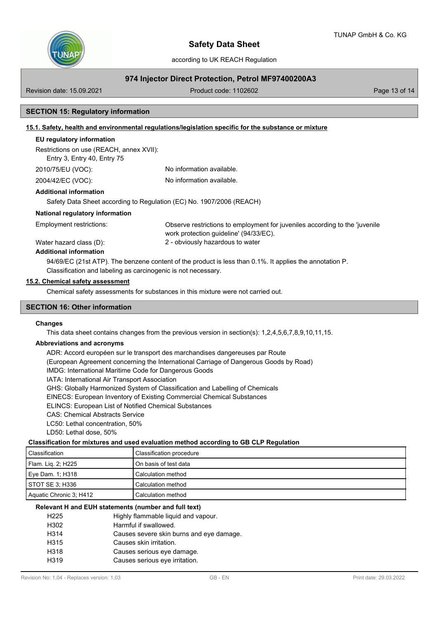

# **974 Injector Direct Protection, Petrol MF97400200A3**

Revision date: 15.09.2021 Case of the Contract Code: 1102602 Page 13 of 14

# **SECTION 15: Regulatory information**

## **15.1. Safety, health and environmental regulations/legislation specific for the substance or mixture**

### **EU regulatory information**

Restrictions on use (REACH, annex XVII):

Entry 3, Entry 40, Entry 75

2010/75/EU (VOC): No information available.

2004/42/EC (VOC): No information available.

### **Additional information**

Safety Data Sheet according to Regulation (EC) No. 1907/2006 (REACH)

### **National regulatory information**

Employment restrictions:

Observe restrictions to employment for juveniles according to the 'juvenile work protection guideline' (94/33/EC). Water hazard class (D): 2 - obviously hazardous to water

# **Additional information**

94/69/EC (21st ATP). The benzene content of the product is less than 0.1%. It applies the annotation P. Classification and labeling as carcinogenic is not necessary.

### **15.2. Chemical safety assessment**

Chemical safety assessments for substances in this mixture were not carried out.

# **SECTION 16: Other information**

### **Changes**

This data sheet contains changes from the previous version in section(s): 1,2,4,5,6,7,8,9,10,11,15.

### **Abbreviations and acronyms**

ADR: Accord européen sur le transport des marchandises dangereuses par Route (European Agreement concerning the International Carriage of Dangerous Goods by Road) IMDG: International Maritime Code for Dangerous Goods IATA: International Air Transport Association GHS: Globally Harmonized System of Classification and Labelling of Chemicals EINECS: European Inventory of Existing Commercial Chemical Substances ELINCS: European List of Notified Chemical Substances CAS: Chemical Abstracts Service LC50: Lethal concentration, 50% LD50: Lethal dose, 50%

# **Classification for mixtures and used evaluation method according to GB CLP Regulation**

| l Classification        | Classification procedure |
|-------------------------|--------------------------|
| Flam. Liq. 2; H225      | On basis of test data    |
| Eye Dam. 1; H318        | Calculation method       |
| STOT SE 3: H336         | Calculation method       |
| Aquatic Chronic 3; H412 | Calculation method       |

### **Relevant H and EUH statements (number and full text)**

| H225 | Highly flammable liquid and vapour.      |
|------|------------------------------------------|
| H302 | Harmful if swallowed.                    |
| H314 | Causes severe skin burns and eye damage. |
| H315 | Causes skin irritation.                  |
| H318 | Causes serious eye damage.               |
| H319 | Causes serious eye irritation.           |
|      |                                          |